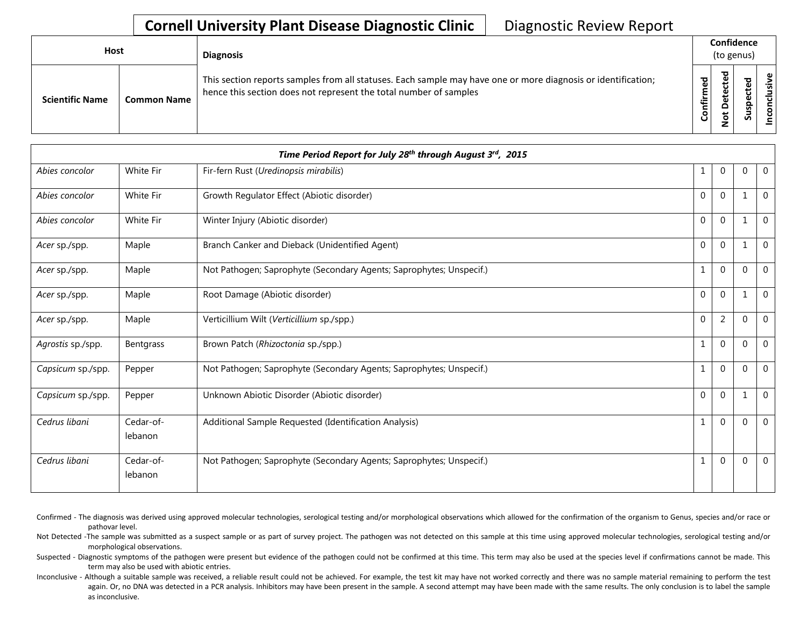| <b>Host</b> |                        |                    | <b>Diagnosis</b>                                                                                                                                                                   |                             | Confidence<br>(to genus) |                         |  |  |  |
|-------------|------------------------|--------------------|------------------------------------------------------------------------------------------------------------------------------------------------------------------------------------|-----------------------------|--------------------------|-------------------------|--|--|--|
|             | <b>Scientific Name</b> | <b>Common Name</b> | This section reports samples from all statuses. Each sample may have one or more diagnosis or identification;<br>hence this section does not represent the total number of samples | ਠ<br>ω<br>È<br>$\circ$<br>ပ | ᇃ                        | ω<br>௨<br><b>S</b><br>n |  |  |  |

| Time Period Report for July 28th through August 3rd, 2015 |                      |                                                                     |              |                |                |                |  |  |  |
|-----------------------------------------------------------|----------------------|---------------------------------------------------------------------|--------------|----------------|----------------|----------------|--|--|--|
| Abies concolor                                            | White Fir            | Fir-fern Rust (Uredinopsis mirabilis)                               | 1            | $\Omega$       | 0              | $\overline{0}$ |  |  |  |
| Abies concolor                                            | White Fir            | Growth Regulator Effect (Abiotic disorder)                          | $\Omega$     | $\Omega$       | $\mathbf{1}$   | $\Omega$       |  |  |  |
| Abies concolor                                            | White Fir            | Winter Injury (Abiotic disorder)                                    | $\Omega$     | $\mathbf 0$    | $\mathbf{1}$   | $\mathbf{0}$   |  |  |  |
| Acer sp./spp.                                             | Maple                | Branch Canker and Dieback (Unidentified Agent)                      | $\Omega$     | $\Omega$       | $\mathbf 1$    | $\mathbf{0}$   |  |  |  |
| Acer sp./spp.                                             | Maple                | Not Pathogen; Saprophyte (Secondary Agents; Saprophytes; Unspecif.) | $\mathbf{1}$ | $\Omega$       | $\Omega$       | $\overline{0}$ |  |  |  |
| Acer sp./spp.                                             | Maple                | Root Damage (Abiotic disorder)                                      | $\Omega$     | $\mathbf 0$    | 1              | $\mathbf{0}$   |  |  |  |
| Acer sp./spp.                                             | Maple                | Verticillium Wilt (Verticillium sp./spp.)                           | $\mathbf 0$  | $\overline{2}$ | $\Omega$       | $\mathbf{0}$   |  |  |  |
| Agrostis sp./spp.                                         | Bentgrass            | Brown Patch (Rhizoctonia sp./spp.)                                  | $\mathbf{1}$ | $\mathbf 0$    | $\mathbf{0}$   | $\mathbf{0}$   |  |  |  |
| Capsicum sp./spp.                                         | Pepper               | Not Pathogen; Saprophyte (Secondary Agents; Saprophytes; Unspecif.) | $\mathbf{1}$ | $\Omega$       | $\Omega$       | $\Omega$       |  |  |  |
| Capsicum sp./spp.                                         | Pepper               | Unknown Abiotic Disorder (Abiotic disorder)                         | $\Omega$     | $\Omega$       | $\mathbf{1}$   | $\mathbf{0}$   |  |  |  |
| Cedrus libani                                             | Cedar-of-<br>lebanon | Additional Sample Requested (Identification Analysis)               | $\mathbf{1}$ | $\Omega$       | 0              | $\Omega$       |  |  |  |
| Cedrus libani                                             | Cedar-of-<br>lebanon | Not Pathogen; Saprophyte (Secondary Agents; Saprophytes; Unspecif.) | $\mathbf{1}$ | $\overline{0}$ | $\overline{0}$ | $\mathbf{0}$   |  |  |  |

Confirmed - The diagnosis was derived using approved molecular technologies, serological testing and/or morphological observations which allowed for the confirmation of the organism to Genus, species and/or race or pathovar level.

Not Detected -The sample was submitted as a suspect sample or as part of survey project. The pathogen was not detected on this sample at this time using approved molecular technologies, serological testing and/or morphological observations.

Suspected - Diagnostic symptoms of the pathogen were present but evidence of the pathogen could not be confirmed at this time. This term may also be used at the species level if confirmations cannot be made. This term may also be used with abiotic entries.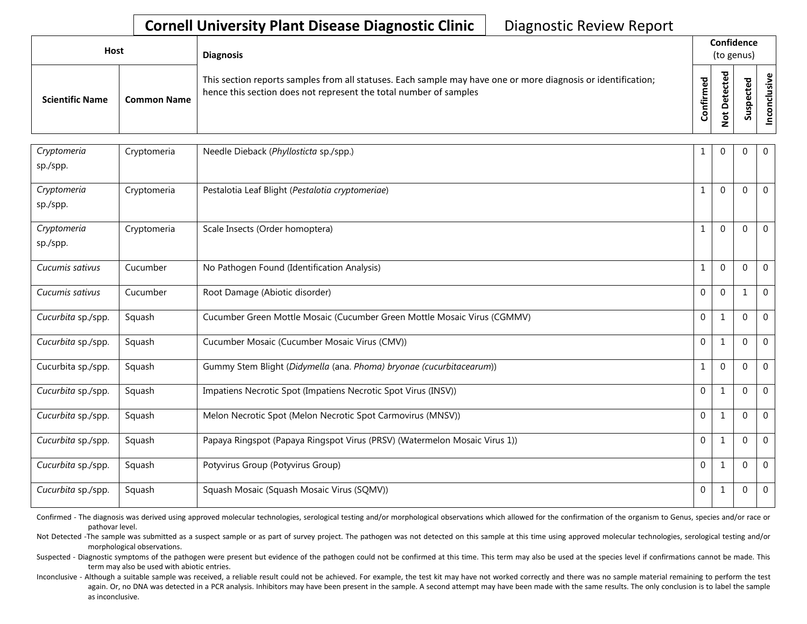| Host                   |                    | <b>Diagnosis</b>                                                                                                                                                                   |                        | Confidence<br>(to genus)                               |                          |                |  |
|------------------------|--------------------|------------------------------------------------------------------------------------------------------------------------------------------------------------------------------------|------------------------|--------------------------------------------------------|--------------------------|----------------|--|
| <b>Scientific Name</b> | <b>Common Name</b> | This section reports samples from all statuses. Each sample may have one or more diagnosis or identification;<br>hence this section does not represent the total number of samples | ᇴ<br>Φ<br>Ē<br>Confiri | ᇴ<br>ē<br>U<br>Φ<br>ã<br>۵<br>$\overline{\sigma}$<br>- | ਠ<br>ഋ<br>ن<br>dsr<br>ഄഁ | nclusiv<br>pco |  |

| Cryptomeria<br>sp./spp. | Cryptomeria | Needle Dieback (Phyllosticta sp./spp.)                                     | 1              | $\Omega$     | $\mathbf 0$    | $\mathbf 0$    |
|-------------------------|-------------|----------------------------------------------------------------------------|----------------|--------------|----------------|----------------|
| Cryptomeria<br>sp./spp. | Cryptomeria | Pestalotia Leaf Blight (Pestalotia cryptomeriae)                           | 1              | $\Omega$     | $\Omega$       | $\mathbf 0$    |
| Cryptomeria<br>sp./spp. | Cryptomeria | Scale Insects (Order homoptera)                                            | 1              | $\Omega$     | $\Omega$       | $\mathbf 0$    |
| Cucumis sativus         | Cucumber    | No Pathogen Found (Identification Analysis)                                | 1              | $\Omega$     | $\theta$       | $\mathbf 0$    |
| Cucumis sativus         | Cucumber    | Root Damage (Abiotic disorder)                                             | $\Omega$       | $\Omega$     |                | $\mathbf 0$    |
| Cucurbita sp./spp.      | Squash      | Cucumber Green Mottle Mosaic (Cucumber Green Mottle Mosaic Virus (CGMMV)   | $\mathbf{0}$   | $\mathbf{1}$ | $\mathbf 0$    | $\mathbf 0$    |
| Cucurbita sp./spp.      | Squash      | Cucumber Mosaic (Cucumber Mosaic Virus (CMV))                              | $\Omega$       | $\mathbf{1}$ | $\mathbf 0$    | $\mathbf 0$    |
| Cucurbita sp./spp.      | Squash      | Gummy Stem Blight (Didymella (ana. Phoma) bryonae (cucurbitacearum))       | $\mathbf{1}$   | $\Omega$     | $\mathbf 0$    | $\mathbf 0$    |
| Cucurbita sp./spp.      | Squash      | Impatiens Necrotic Spot (Impatiens Necrotic Spot Virus (INSV))             | $\Omega$       | $\mathbf{1}$ | $\overline{0}$ | $\mathbf 0$    |
| Cucurbita sp./spp.      | Squash      | Melon Necrotic Spot (Melon Necrotic Spot Carmovirus (MNSV))                | $\Omega$       | $\mathbf{1}$ | $\Omega$       | $\mathbf{0}$   |
| Cucurbita sp./spp.      | Squash      | Papaya Ringspot (Papaya Ringspot Virus (PRSV) (Watermelon Mosaic Virus 1)) | $\overline{0}$ | 1            | $\mathbf 0$    | $\overline{0}$ |
| Cucurbita sp./spp.      | Squash      | Potyvirus Group (Potyvirus Group)                                          | $\Omega$       | 1            | 0              | $\mathbf 0$    |
| Cucurbita sp./spp.      | Squash      | Squash Mosaic (Squash Mosaic Virus (SQMV))                                 | 0              | 1            | $\mathbf 0$    | $\overline{0}$ |

Confirmed - The diagnosis was derived using approved molecular technologies, serological testing and/or morphological observations which allowed for the confirmation of the organism to Genus, species and/or race or pathovar level.

Not Detected -The sample was submitted as a suspect sample or as part of survey project. The pathogen was not detected on this sample at this time using approved molecular technologies, serological testing and/or morphological observations.

Suspected - Diagnostic symptoms of the pathogen were present but evidence of the pathogen could not be confirmed at this time. This term may also be used at the species level if confirmations cannot be made. This term may also be used with abiotic entries.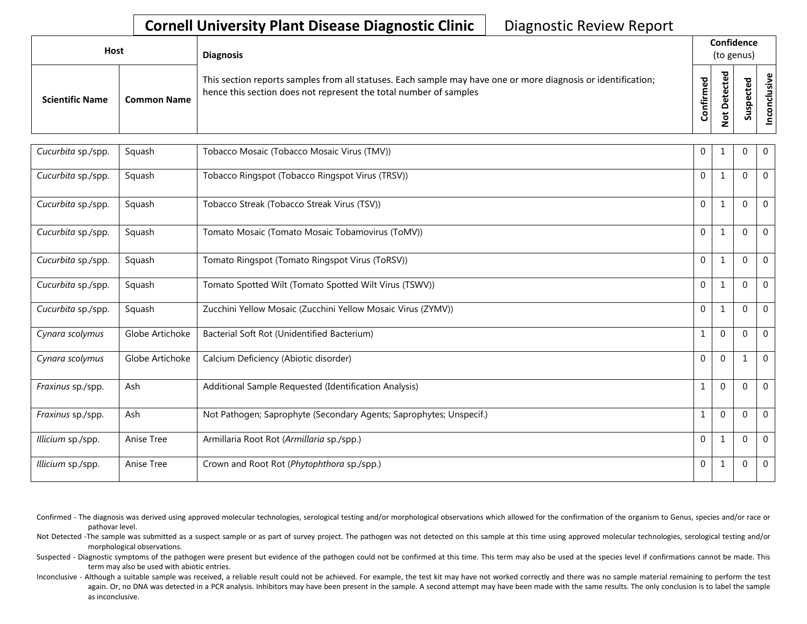| <b>Host</b>            |                    | <b>Diagnosis</b>                                                                                                                                                                   |             | Confidence<br>(to genus) |                                   |  |  |  |
|------------------------|--------------------|------------------------------------------------------------------------------------------------------------------------------------------------------------------------------------|-------------|--------------------------|-----------------------------------|--|--|--|
| <b>Scientific Name</b> | <b>Common Name</b> | This section reports samples from all statuses. Each sample may have one or more diagnosis or identification;<br>hence this section does not represent the total number of samples | ठ<br>₩<br>o | _                        | ω<br>ω<br>요<br><b>S</b><br>-<br>n |  |  |  |

| Cucurbita sp./spp. | Squash          | Tobacco Mosaic (Tobacco Mosaic Virus (TMV))                         | $\Omega$       |              | 0           | $\mathbf{0}$ |
|--------------------|-----------------|---------------------------------------------------------------------|----------------|--------------|-------------|--------------|
| Cucurbita sp./spp. | Squash          | Tobacco Ringspot (Tobacco Ringspot Virus (TRSV))                    | $\Omega$       | $\mathbf{1}$ | $\Omega$    | $\mathbf{0}$ |
| Cucurbita sp./spp. | Squash          | Tobacco Streak (Tobacco Streak Virus (TSV))                         | $\Omega$       | $\mathbf{1}$ | $\Omega$    | $\mathbf{0}$ |
| Cucurbita sp./spp. | Squash          | Tomato Mosaic (Tomato Mosaic Tobamovirus (ToMV))                    | $\Omega$       | $\mathbf{1}$ | $\Omega$    | $\mathbf{0}$ |
| Cucurbita sp./spp. | Squash          | Tomato Ringspot (Tomato Ringspot Virus (ToRSV))                     | $\Omega$       | $\mathbf{1}$ | $\Omega$    | $\mathbf{0}$ |
| Cucurbita sp./spp. | Squash          | Tomato Spotted Wilt (Tomato Spotted Wilt Virus (TSWV))              | $\Omega$       | $\mathbf{1}$ | $\Omega$    | $\mathbf{0}$ |
| Cucurbita sp./spp. | Squash          | Zucchini Yellow Mosaic (Zucchini Yellow Mosaic Virus (ZYMV))        | $\Omega$       | $\mathbf{1}$ | $\Omega$    | $\mathbf{0}$ |
| Cynara scolymus    | Globe Artichoke | Bacterial Soft Rot (Unidentified Bacterium)                         | 1              | $\mathbf 0$  | 0           | 0            |
| Cynara scolymus    | Globe Artichoke | Calcium Deficiency (Abiotic disorder)                               | $\Omega$       | $\Omega$     | 1           | $\mathbf{0}$ |
| Fraxinus sp./spp.  | Ash             | Additional Sample Requested (Identification Analysis)               | $\mathbf{1}$   | $\Omega$     | $\Omega$    | $\Omega$     |
| Fraxinus sp./spp.  | Ash             | Not Pathogen; Saprophyte (Secondary Agents; Saprophytes; Unspecif.) | $\mathbf{1}$   | $\Omega$     | $\Omega$    | $\mathbf{0}$ |
| Illicium sp./spp.  | Anise Tree      | Armillaria Root Rot (Armillaria sp./spp.)                           | $\Omega$       | $\mathbf{1}$ | $\Omega$    | $\mathbf{0}$ |
| Illicium sp./spp.  | Anise Tree      | Crown and Root Rot (Phytophthora sp./spp.)                          | $\overline{0}$ | 1            | $\mathbf 0$ | $\mathbf 0$  |

Confirmed - The diagnosis was derived using approved molecular technologies, serological testing and/or morphological observations which allowed for the confirmation of the organism to Genus, species and/or race or pathovar level.

Not Detected -The sample was submitted as a suspect sample or as part of survey project. The pathogen was not detected on this sample at this time using approved molecular technologies, serological testing and/or morphological observations.

Suspected - Diagnostic symptoms of the pathogen were present but evidence of the pathogen could not be confirmed at this time. This term may also be used at the species level if confirmations cannot be made. This term may also be used with abiotic entries.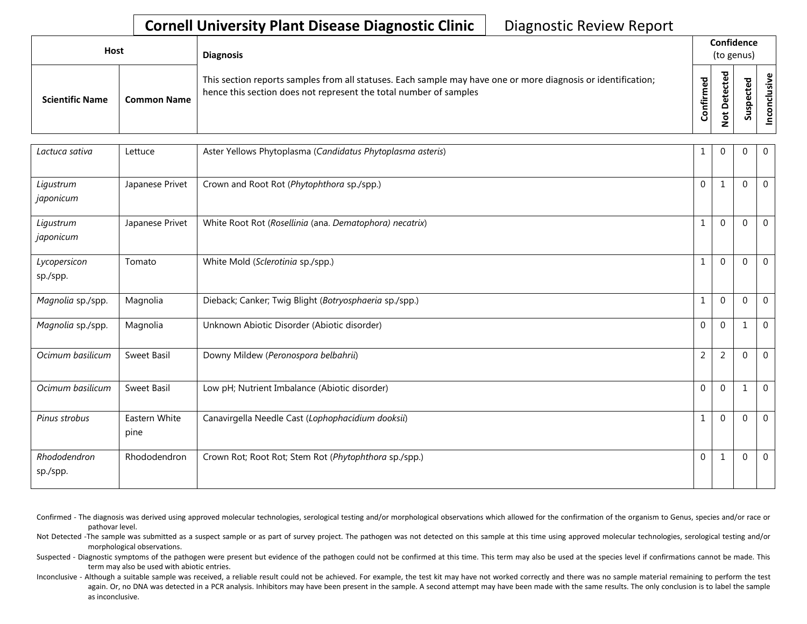| Host                   |                    | <b>Diagnosis</b>                                                                                                                                                                   |                      |                                                          |         |                   |  |  | Confidence<br>(to genus) |  |  |
|------------------------|--------------------|------------------------------------------------------------------------------------------------------------------------------------------------------------------------------------|----------------------|----------------------------------------------------------|---------|-------------------|--|--|--------------------------|--|--|
| <b>Scientific Name</b> | <b>Common Name</b> | This section reports samples from all statuses. Each sample may have one or more diagnosis or identification;<br>hence this section does not represent the total number of samples | ЪЪ<br>∸.<br>둘<br>ပြု | ᅙ<br>ω<br>Φ<br>۵<br>۵<br>$\overline{\sigma}$<br>-<br>c., | ᇴ<br>ഄഁ | lusive<br>᠊ᠣ<br>S |  |  |                          |  |  |

| Lactuca sativa           | Lettuce               | Aster Yellows Phytoplasma (Candidatus Phytoplasma asteris) | 1              | $\mathbf 0$    | $\Omega$       | $\mathbf 0$  |
|--------------------------|-----------------------|------------------------------------------------------------|----------------|----------------|----------------|--------------|
| Ligustrum<br>japonicum   | Japanese Privet       | Crown and Root Rot (Phytophthora sp./spp.)                 | $\Omega$       | $\mathbf{1}$   | $\Omega$       | $\mathbf{0}$ |
| Ligustrum<br>japonicum   | Japanese Privet       | White Root Rot (Rosellinia (ana. Dematophora) necatrix)    | $\mathbf{1}$   | $\Omega$       | 0              | $\mathbf{0}$ |
| Lycopersicon<br>sp./spp. | Tomato                | White Mold (Sclerotinia sp./spp.)                          | $\mathbf{1}$   | $\mathbf 0$    | $\overline{0}$ | $\mathbf 0$  |
| Magnolia sp./spp.        | Magnolia              | Dieback; Canker; Twig Blight (Botryosphaeria sp./spp.)     | $\mathbf{1}$   | $\Omega$       | $\Omega$       | $\mathbf 0$  |
| Magnolia sp./spp.        | Magnolia              | Unknown Abiotic Disorder (Abiotic disorder)                | $\mathbf 0$    | $\mathbf 0$    | 1              | 0            |
| Ocimum basilicum         | Sweet Basil           | Downy Mildew (Peronospora belbahrii)                       | $\overline{2}$ | $\overline{2}$ | $\overline{0}$ | $\mathbf{0}$ |
| Ocimum basilicum         | Sweet Basil           | Low pH; Nutrient Imbalance (Abiotic disorder)              | $\overline{0}$ | $\Omega$       | 1              | $\mathbf 0$  |
| Pinus strobus            | Eastern White<br>pine | Canavirgella Needle Cast (Lophophacidium dooksii)          | $\mathbf{1}$   | $\mathbf 0$    | $\mathbf 0$    | $\mathbf 0$  |
| Rhododendron<br>sp./spp. | Rhododendron          | Crown Rot; Root Rot; Stem Rot (Phytophthora sp./spp.)      | $\Omega$       | 1              | $\mathbf 0$    | $\mathbf{0}$ |

Confirmed - The diagnosis was derived using approved molecular technologies, serological testing and/or morphological observations which allowed for the confirmation of the organism to Genus, species and/or race or pathovar level.

Not Detected -The sample was submitted as a suspect sample or as part of survey project. The pathogen was not detected on this sample at this time using approved molecular technologies, serological testing and/or morphological observations.

Suspected - Diagnostic symptoms of the pathogen were present but evidence of the pathogen could not be confirmed at this time. This term may also be used at the species level if confirmations cannot be made. This term may also be used with abiotic entries.